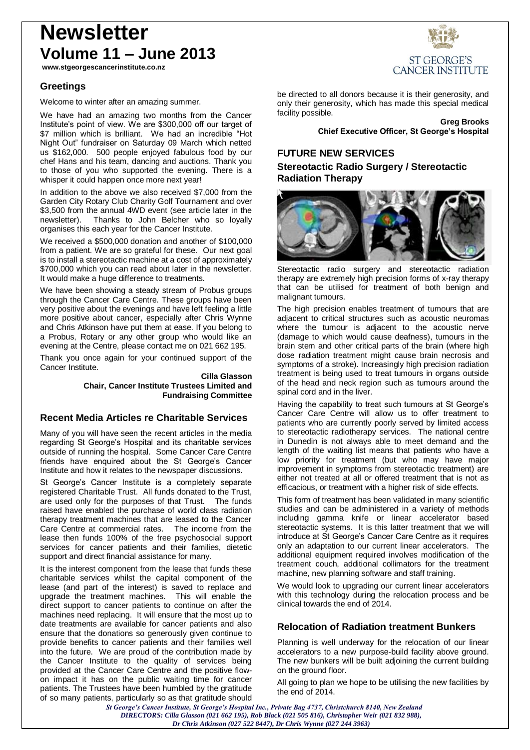# **Newsletter Volume 11 – June 2013**

**www.stgeorgescancerinstitute.co.nz**

## **Greetings**

Welcome to winter after an amazing summer.

We have had an amazing two months from the Cancer Institute's point of view. We are \$300,000 off our target of \$7 million which is brilliant. We had an incredible "Hot Night Out" fundraiser on Saturday 09 March which netted us \$162,000. 500 people enjoyed fabulous food by our chef Hans and his team, dancing and auctions. Thank you to those of you who supported the evening. There is a whisper it could happen once more next year!

In addition to the above we also received \$7,000 from the Garden City Rotary Club Charity Golf Tournament and over \$3,500 from the annual 4WD event (see article later in the newsletter). Thanks to John Belcher who so loyally organises this each year for the Cancer Institute.

We received a \$500,000 donation and another of \$100,000 from a patient. We are so grateful for these. Our next goal is to install a stereotactic machine at a cost of approximately \$700,000 which you can read about later in the newsletter. It would make a huge difference to treatments.

We have been showing a steady stream of Probus groups through the Cancer Care Centre. These groups have been very positive about the evenings and have left feeling a little more positive about cancer, especially after Chris Wynne and Chris Atkinson have put them at ease. If you belong to a Probus, Rotary or any other group who would like an evening at the Centre, please contact me on 021 662 195.

Thank you once again for your continued support of the Cancer Institute.

> **Cilla Glasson Chair, Cancer Institute Trustees Limited and Fundraising Committee**

## **Recent Media Articles re Charitable Services**

Many of you will have seen the recent articles in the media regarding St George's Hospital and its charitable services outside of running the hospital. Some Cancer Care Centre friends have enquired about the St George's Cancer Institute and how it relates to the newspaper discussions.

St George's Cancer Institute is a completely separate registered Charitable Trust. All funds donated to the Trust, are used only for the purposes of that Trust. The funds raised have enabled the purchase of world class radiation therapy treatment machines that are leased to the Cancer Care Centre at commercial rates. The income from the lease then funds 100% of the free psychosocial support services for cancer patients and their families, dietetic support and direct financial assistance for many.

It is the interest component from the lease that funds these charitable services whilst the capital component of the lease (and part of the interest) is saved to replace and upgrade the treatment machines. This will enable the direct support to cancer patients to continue on after the machines need replacing. It will ensure that the most up to date treatments are available for cancer patients and also ensure that the donations so generously given continue to provide benefits to cancer patients and their families well into the future. We are proud of the contribution made by the Cancer Institute to the quality of services being provided at the Cancer Care Centre and the positive flowon impact it has on the public waiting time for cancer patients. The Trustees have been humbled by the gratitude of so many patients, particularly so as that gratitude should



be directed to all donors because it is their generosity, and only their generosity, which has made this special medical facility possible.

> **Greg Brooks Chief Executive Officer, St George's Hospital**

## **FUTURE NEW SERVICES**

## **Stereotactic Radio Surgery / Stereotactic Radiation Therapy**



Stereotactic radio surgery and stereotactic radiation therapy are extremely high precision forms of x-ray therapy that can be utilised for treatment of both benign and malignant tumours.

The high precision enables treatment of tumours that are adjacent to critical structures such as acoustic neuromas where the tumour is adjacent to the acoustic nerve (damage to which would cause deafness), tumours in the brain stem and other critical parts of the brain (where high dose radiation treatment might cause brain necrosis and symptoms of a stroke). Increasingly high precision radiation treatment is being used to treat tumours in organs outside of the head and neck region such as tumours around the spinal cord and in the liver.

Having the capability to treat such tumours at St George's Cancer Care Centre will allow us to offer treatment to patients who are currently poorly served by limited access to stereotactic radiotherapy services. The national centre in Dunedin is not always able to meet demand and the length of the waiting list means that patients who have a low priority for treatment (but who may have major improvement in symptoms from stereotactic treatment) are either not treated at all or offered treatment that is not as efficacious, or treatment with a higher risk of side effects.

This form of treatment has been validated in many scientific studies and can be administered in a variety of methods including gamma knife or linear accelerator based stereotactic systems. It is this latter treatment that we will introduce at St George's Cancer Care Centre as it requires only an adaptation to our current linear accelerators. The additional equipment required involves modification of the treatment couch, additional collimators for the treatment machine, new planning software and staff training.

We would look to upgrading our current linear accelerators with this technology during the relocation process and be clinical towards the end of 2014.

## **Relocation of Radiation treatment Bunkers**

Planning is well underway for the relocation of our linear accelerators to a new purpose-build facility above ground. The new bunkers will be built adjoining the current building on the ground floor.

All going to plan we hope to be utilising the new facilities by the end of 2014.

*St George's Cancer Institute, St George's Hospital Inc., Private Bag 4737, Christchurch 8140, New Zealand DIRECTORS: Cilla Glasson (021 662 195), Rob Black (021 505 816), Christopher Weir (021 832 988), Dr Chris Atkinson (027 522 8447), Dr Chris Wynne (027 244 3963)*